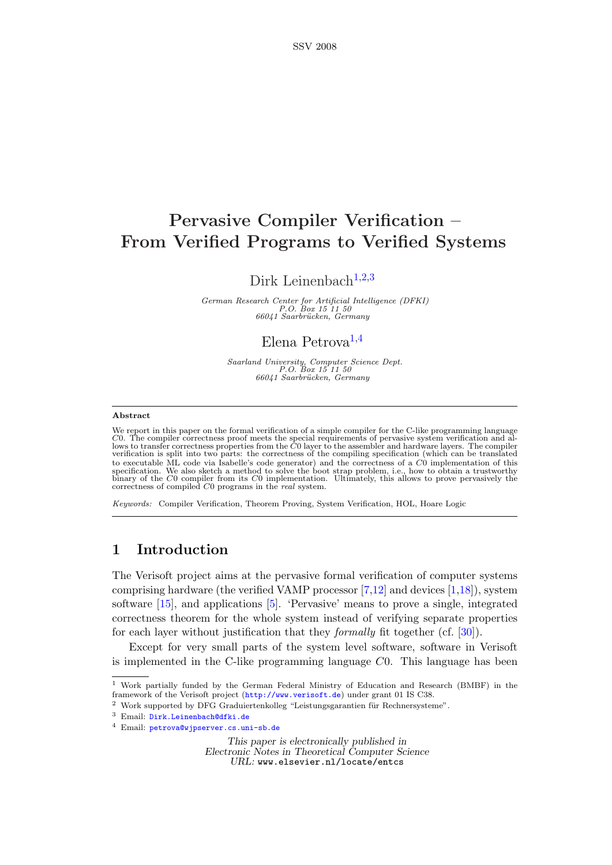# Pervasive Compiler Verification – From Verified Programs to Verified Systems

Dirk Leinenbach<sup>[1](#page-0-0),[2](#page-0-0),[3](#page-0-0)</sup>

German Research Center for Artificial Intelligence (DFKI)<br>P.O. Box 15 11 50<br>66041 Saarbrücken, Germany

## Elena Petrova<sup>[1](#page-0-0),[4](#page-0-0)</sup>

Saarland University, Computer Science Dept.<br>P.O. Box 15 11 50<br>66041 Saarbrücken, Germany

## <span id="page-0-0"></span>Abstract

We report in this paper on the formal verification of a simple compiler for the C-like programming language C0. The compiler correctness proof meets the special requirements of pervasive system verification and al-lows to transfer correctness properties from the C0 layer to the assembler and hardware layers. The compiler verification is split into two parts: the correctness of the compiling specification (which can be translated to executable ML code via Isabelle's code generator) and the correctness of a  $C0$  implementation of this specification. We also sketch a method to solve the boot strap problem, i.e., how to obtain a trustworthy binary of

Keywords: Compiler Verification, Theorem Proving, System Verification, HOL, Hoare Logic

## 1 Introduction

The Verisoft project aims at the pervasive formal verification of computer systems comprising hardware (the verified VAMP processor  $[7,12]$  $[7,12]$  and devices  $[1,18]$  $[1,18]$ ), system software [\[15\]](#page-15-4), and applications [\[5\]](#page-15-5). 'Pervasive' means to prove a single, integrated correctness theorem for the whole system instead of verifying separate properties for each layer without justification that they formally fit together (cf. [\[30\]](#page-16-0)).

Except for very small parts of the system level software, software in Verisoft is implemented in the C-like programming language C0. This language has been

This paper is electronically published in Electronic Notes in Theoretical Computer Science URL: www.elsevier.nl/locate/entcs

<sup>1</sup> Work partially funded by the German Federal Ministry of Education and Research (BMBF) in the framework of the Verisoft project (<http://www.verisoft.de>) under grant 01 IS C38.

 $^2\,$  Work supported by DFG Graduiertenkolleg "Leistungsgarantien für Rechnersysteme".

<sup>3</sup> Email: [Dirk.Leinenbach@dfki.de](mailto:Dirk.Leinenbach@dfki.de)

<sup>4</sup> Email: [petrova@wjpserver.cs.uni-sb.de](mailto:petrova@wjpserver.cs.uni-sb.de)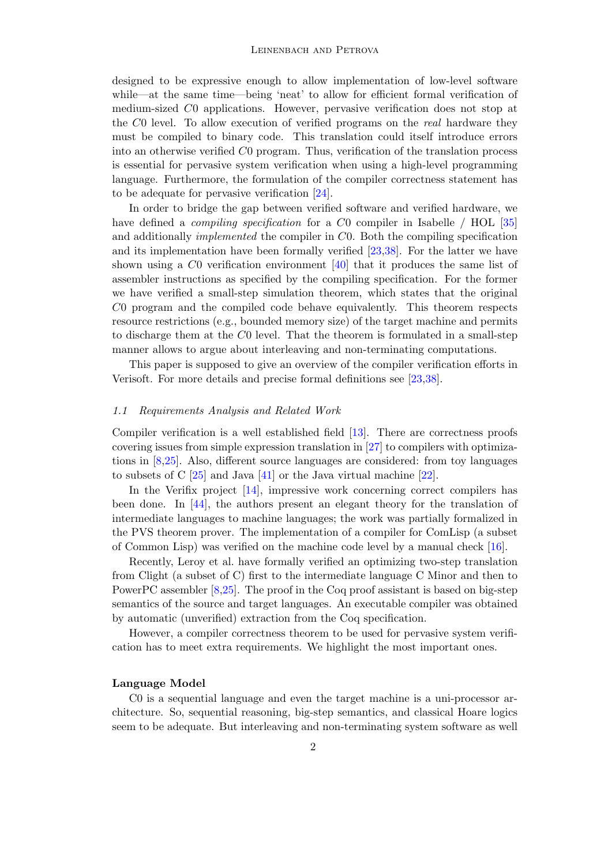designed to be expressive enough to allow implementation of low-level software while—at the same time—being 'neat' to allow for efficient formal verification of medium-sized C0 applications. However, pervasive verification does not stop at the C0 level. To allow execution of verified programs on the real hardware they must be compiled to binary code. This translation could itself introduce errors into an otherwise verified C0 program. Thus, verification of the translation process is essential for pervasive system verification when using a high-level programming language. Furthermore, the formulation of the compiler correctness statement has to be adequate for pervasive verification [\[24\]](#page-16-1).

In order to bridge the gap between verified software and verified hardware, we have defined a *compiling specification* for a C0 compiler in Isabelle / HOL [\[35\]](#page-16-2) and additionally implemented the compiler in C0. Both the compiling specification and its implementation have been formally verified [\[23](#page-16-3)[,38\]](#page-16-4). For the latter we have shown using a C0 verification environment [\[40\]](#page-16-5) that it produces the same list of assembler instructions as specified by the compiling specification. For the former we have verified a small-step simulation theorem, which states that the original C0 program and the compiled code behave equivalently. This theorem respects resource restrictions (e.g., bounded memory size) of the target machine and permits to discharge them at the C0 level. That the theorem is formulated in a small-step manner allows to argue about interleaving and non-terminating computations.

This paper is supposed to give an overview of the compiler verification efforts in Verisoft. For more details and precise formal definitions see [\[23,](#page-16-3)[38\]](#page-16-4).

## 1.1 Requirements Analysis and Related Work

Compiler verification is a well established field [\[13\]](#page-15-6). There are correctness proofs covering issues from simple expression translation in [\[27\]](#page-16-6) to compilers with optimizations in [\[8](#page-15-7)[,25\]](#page-16-7). Also, different source languages are considered: from toy languages to subsets of C  $[25]$  and Java  $[41]$  or the Java virtual machine  $[22]$ .

In the Verifix project [\[14\]](#page-15-8), impressive work concerning correct compilers has been done. In [\[44\]](#page-16-10), the authors present an elegant theory for the translation of intermediate languages to machine languages; the work was partially formalized in the PVS theorem prover. The implementation of a compiler for ComLisp (a subset of Common Lisp) was verified on the machine code level by a manual check [\[16\]](#page-15-9).

Recently, Leroy et al. have formally verified an optimizing two-step translation from Clight (a subset of C) first to the intermediate language C Minor and then to PowerPC assembler [\[8,](#page-15-7)[25\]](#page-16-7). The proof in the Coq proof assistant is based on big-step semantics of the source and target languages. An executable compiler was obtained by automatic (unverified) extraction from the Coq specification.

However, a compiler correctness theorem to be used for pervasive system verification has to meet extra requirements. We highlight the most important ones.

## Language Model

C0 is a sequential language and even the target machine is a uni-processor architecture. So, sequential reasoning, big-step semantics, and classical Hoare logics seem to be adequate. But interleaving and non-terminating system software as well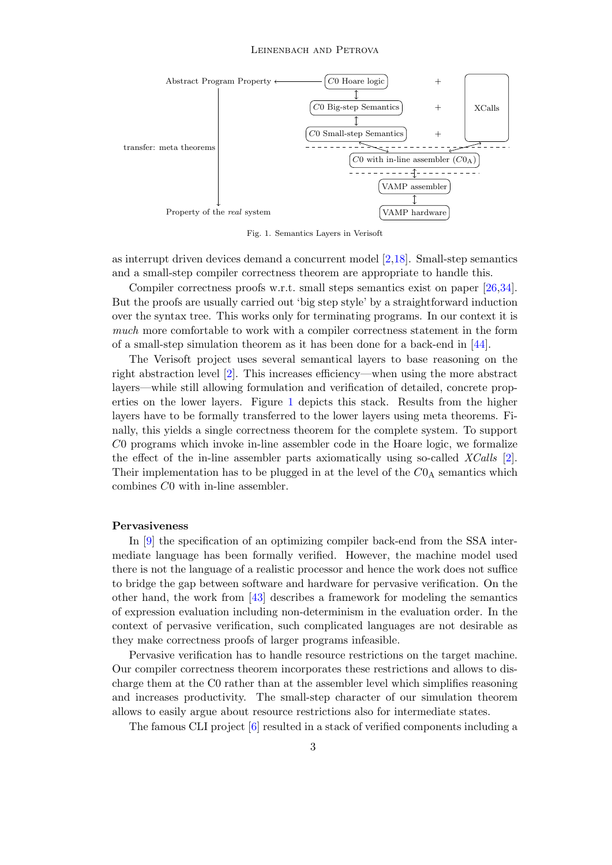#### LEINENBACH AND PETROVA



<span id="page-2-0"></span>Fig. 1. Semantics Layers in Verisoft

as interrupt driven devices demand a concurrent model [\[2](#page-15-10)[,18\]](#page-15-3). Small-step semantics and a small-step compiler correctness theorem are appropriate to handle this.

Compiler correctness proofs w.r.t. small steps semantics exist on paper [\[26,](#page-16-11)[34\]](#page-16-12). But the proofs are usually carried out 'big step style' by a straightforward induction over the syntax tree. This works only for terminating programs. In our context it is much more comfortable to work with a compiler correctness statement in the form of a small-step simulation theorem as it has been done for a back-end in [\[44\]](#page-16-10).

The Verisoft project uses several semantical layers to base reasoning on the right abstraction level [\[2\]](#page-15-10). This increases efficiency—when using the more abstract layers—while still allowing formulation and verification of detailed, concrete properties on the lower layers. Figure [1](#page-2-0) depicts this stack. Results from the higher layers have to be formally transferred to the lower layers using meta theorems. Finally, this yields a single correctness theorem for the complete system. To support C0 programs which invoke in-line assembler code in the Hoare logic, we formalize the effect of the in-line assembler parts axiomatically using so-called  $XCalls$  [\[2\]](#page-15-10). Their implementation has to be plugged in at the level of the  $C0_A$  semantics which combines C0 with in-line assembler.

## Pervasiveness

In [\[9\]](#page-15-11) the specification of an optimizing compiler back-end from the SSA intermediate language has been formally verified. However, the machine model used there is not the language of a realistic processor and hence the work does not suffice to bridge the gap between software and hardware for pervasive verification. On the other hand, the work from [\[43\]](#page-16-13) describes a framework for modeling the semantics of expression evaluation including non-determinism in the evaluation order. In the context of pervasive verification, such complicated languages are not desirable as they make correctness proofs of larger programs infeasible.

Pervasive verification has to handle resource restrictions on the target machine. Our compiler correctness theorem incorporates these restrictions and allows to discharge them at the C0 rather than at the assembler level which simplifies reasoning and increases productivity. The small-step character of our simulation theorem allows to easily argue about resource restrictions also for intermediate states.

The famous CLI project [\[6\]](#page-15-12) resulted in a stack of verified components including a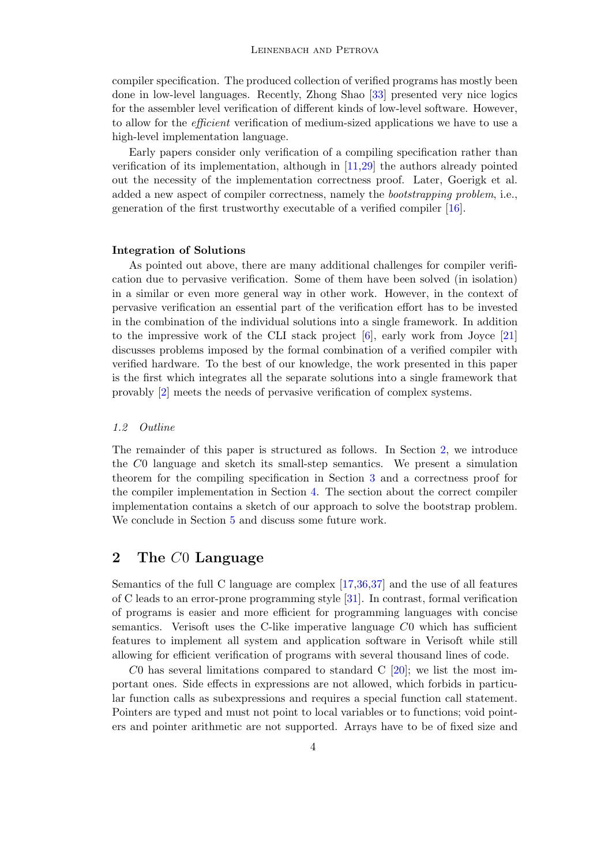compiler specification. The produced collection of verified programs has mostly been done in low-level languages. Recently, Zhong Shao [\[33\]](#page-16-14) presented very nice logics for the assembler level verification of different kinds of low-level software. However, to allow for the efficient verification of medium-sized applications we have to use a high-level implementation language.

Early papers consider only verification of a compiling specification rather than verification of its implementation, although in [\[11,](#page-15-13)[29\]](#page-16-15) the authors already pointed out the necessity of the implementation correctness proof. Later, Goerigk et al. added a new aspect of compiler correctness, namely the bootstrapping problem, i.e., generation of the first trustworthy executable of a verified compiler [\[16\]](#page-15-9).

## Integration of Solutions

As pointed out above, there are many additional challenges for compiler verification due to pervasive verification. Some of them have been solved (in isolation) in a similar or even more general way in other work. However, in the context of pervasive verification an essential part of the verification effort has to be invested in the combination of the individual solutions into a single framework. In addition to the impressive work of the CLI stack project [\[6\]](#page-15-12), early work from Joyce [\[21\]](#page-15-14) discusses problems imposed by the formal combination of a verified compiler with verified hardware. To the best of our knowledge, the work presented in this paper is the first which integrates all the separate solutions into a single framework that provably [\[2\]](#page-15-10) meets the needs of pervasive verification of complex systems.

## 1.2 Outline

The remainder of this paper is structured as follows. In Section [2,](#page-3-0) we introduce the C0 language and sketch its small-step semantics. We present a simulation theorem for the compiling specification in Section [3](#page-8-0) and a correctness proof for the compiler implementation in Section [4.](#page-12-0) The section about the correct compiler implementation contains a sketch of our approach to solve the bootstrap problem. We conclude in Section [5](#page-14-0) and discuss some future work.

## <span id="page-3-0"></span>2 The C0 Language

Semantics of the full C language are complex [\[17](#page-15-15)[,36](#page-16-16)[,37\]](#page-16-17) and the use of all features of C leads to an error-prone programming style [\[31\]](#page-16-18). In contrast, formal verification of programs is easier and more efficient for programming languages with concise semantics. Verisoft uses the C-like imperative language  $C0$  which has sufficient features to implement all system and application software in Verisoft while still allowing for efficient verification of programs with several thousand lines of code.

C0 has several limitations compared to standard C  $[20]$ ; we list the most important ones. Side effects in expressions are not allowed, which forbids in particular function calls as subexpressions and requires a special function call statement. Pointers are typed and must not point to local variables or to functions; void pointers and pointer arithmetic are not supported. Arrays have to be of fixed size and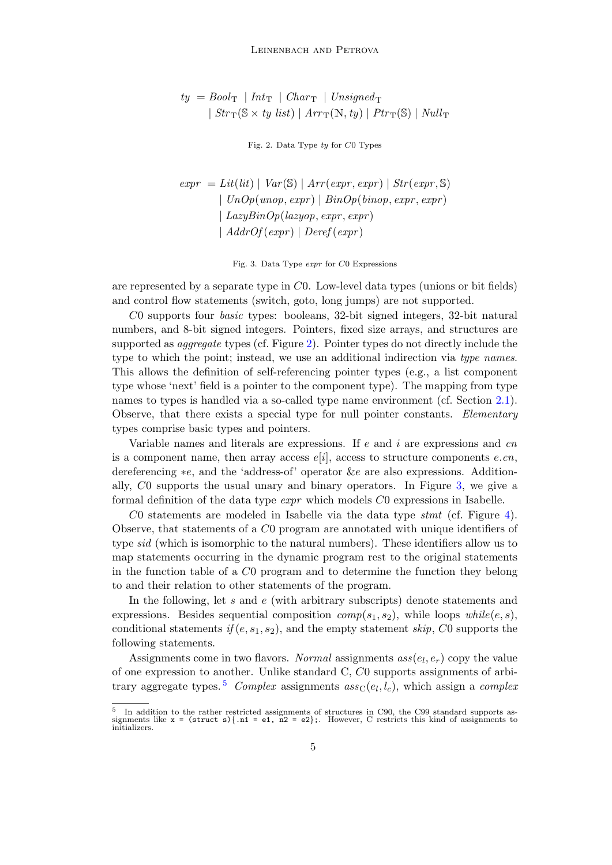$$
ty = Book_{T} | Int_{T} | Char_{T} | Unsigned_{T}
$$
  
 
$$
| Str_{T}(S \times ty list) | Arr_{T}(N, ty) | Ptr_{T}(S) | Null_{T}
$$

<span id="page-4-0"></span>Fig. 2. Data Type ty for C0 Types

 $expr = Lit(lit) | Var(\mathbb{S}) | Arr(exp, expr) | Str(exp, \mathbb{S})$  $| UnOp(unop, expr) | BinOp(binop, expr, expr)$  $| \textit{LazyBinOp}(lazyop, expr, expr)$  $\mid$  AddrOf $(exp) \mid$  Deref $(exp)$ 

<span id="page-4-1"></span>Fig. 3. Data Type expr for C0 Expressions

are represented by a separate type in C0. Low-level data types (unions or bit fields) and control flow statements (switch, goto, long jumps) are not supported.

C0 supports four basic types: booleans, 32-bit signed integers, 32-bit natural numbers, and 8-bit signed integers. Pointers, fixed size arrays, and structures are supported as *aggregate* types (cf. Figure [2\)](#page-4-0). Pointer types do not directly include the type to which the point; instead, we use an additional indirection via type names. This allows the definition of self-referencing pointer types (e.g., a list component type whose 'next' field is a pointer to the component type). The mapping from type names to types is handled via a so-called type name environment (cf. Section [2.1\)](#page-5-0). Observe, that there exists a special type for null pointer constants. Elementary types comprise basic types and pointers.

Variable names and literals are expressions. If  $e$  and  $i$  are expressions and cn is a component name, then array access  $e[i]$ , access to structure components  $e, cn$ , dereferencing ∗e, and the 'address-of' operator &e are also expressions. Additionally, C0 supports the usual unary and binary operators. In Figure [3,](#page-4-1) we give a formal definition of the data type expr which models C0 expressions in Isabelle.

C0 statements are modeled in Isabelle via the data type  $s$ tmt (cf. Figure [4\)](#page-5-1). Observe, that statements of a C0 program are annotated with unique identifiers of type sid (which is isomorphic to the natural numbers). These identifiers allow us to map statements occurring in the dynamic program rest to the original statements in the function table of a C0 program and to determine the function they belong to and their relation to other statements of the program.

In the following, let s and  $e$  (with arbitrary subscripts) denote statements and expressions. Besides sequential composition  $comp(s_1, s_2)$ , while loops  $while(e, s)$ , conditional statements  $if (e, s_1, s_2)$ , and the empty statement skip, C<sub>0</sub> supports the following statements.

Assignments come in two flavors. Normal assignments  $ass(e_l, e_r)$  copy the value of one expression to another. Unlike standard C, C0 supports assignments of arbi-trary aggregate types.<sup>[5](#page-4-2)</sup> Complex assignments  $ass_{\mathcal{C}}(e_l, l_c)$ , which assign a complex

<span id="page-4-2"></span><sup>5</sup> In addition to the rather restricted assignments of structures in C90, the C99 standard supports assignments like  $x = (struct s) \{ .n1 = e1, n2 = e2 \};$ . However, C restricts this kind of assignments to initializers.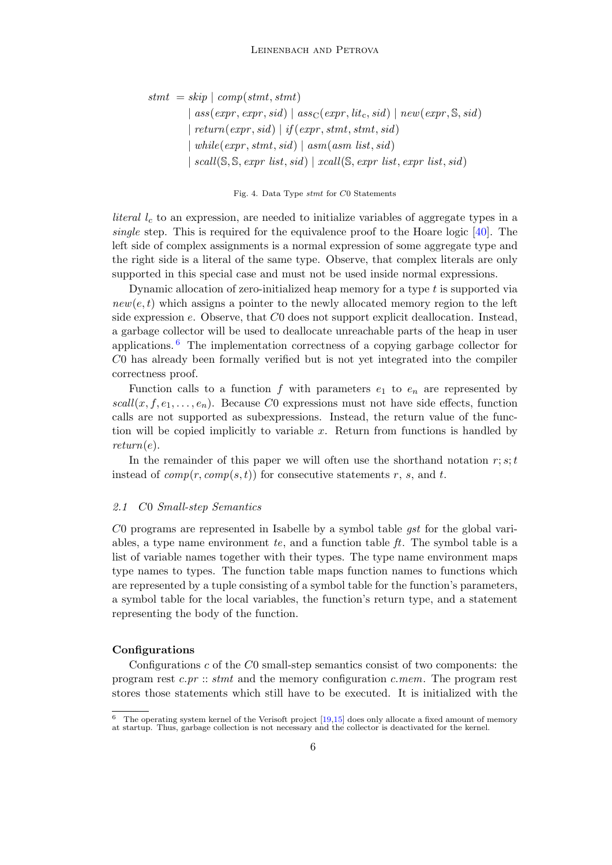$s$ tmt = skip | comp(stmt, stmt)  $|$  ass(expr, expr, sid)  $|$  ass<sub>C</sub>(expr, lit<sub>c</sub>, sid)  $|$  new(expr, S, sid)  $|return(exp, sid) | if(exp,stmt,stmt, sid)$  $|while(expr,stmt, sid) |asm(asm list, sid)$ | scall( $\mathcal{S}, \mathcal{S}, \text{expr}$  list, sid) | xcall( $\mathcal{S}, \text{expr}$  list, expr list, sid)

<span id="page-5-1"></span>Fig. 4. Data Type stmt for C0 Statements

*literal*  $l_c$  to an expression, are needed to initialize variables of aggregate types in a single step. This is required for the equivalence proof to the Hoare logic  $[40]$ . The left side of complex assignments is a normal expression of some aggregate type and the right side is a literal of the same type. Observe, that complex literals are only supported in this special case and must not be used inside normal expressions.

Dynamic allocation of zero-initialized heap memory for a type  $t$  is supported via  $new(e, t)$  which assigns a pointer to the newly allocated memory region to the left side expression  $e$ . Observe, that  $C_0$  does not support explicit deallocation. Instead, a garbage collector will be used to deallocate unreachable parts of the heap in user applications. [6](#page-5-2) The implementation correctness of a copying garbage collector for C0 has already been formally verified but is not yet integrated into the compiler correctness proof.

Function calls to a function f with parameters  $e_1$  to  $e_n$  are represented by  $scal(x, f, e_1, \ldots, e_n)$ . Because C0 expressions must not have side effects, function calls are not supported as subexpressions. Instead, the return value of the function will be copied implicitly to variable  $x$ . Return from functions is handled by  $return(e).$ 

In the remainder of this paper we will often use the shorthand notation  $r; s; t$ instead of  $comp(r, comp(s, t))$  for consecutive statements r, s, and t.

#### <span id="page-5-0"></span>2.1 C0 Small-step Semantics

 $C0$  programs are represented in Isabelle by a symbol table *qst* for the global variables, a type name environment  $te$ , and a function table  $ft$ . The symbol table is a list of variable names together with their types. The type name environment maps type names to types. The function table maps function names to functions which are represented by a tuple consisting of a symbol table for the function's parameters, a symbol table for the local variables, the function's return type, and a statement representing the body of the function.

## Configurations

Configurations  $c$  of the  $C_0$  small-step semantics consist of two components: the program rest  $c,pr::$  stmt and the memory configuration c.mem. The program rest stores those statements which still have to be executed. It is initialized with the

<span id="page-5-2"></span> $6$  The operating system kernel of the Verisoft project  $[19,15]$  $[19,15]$  does only allocate a fixed amount of memory at startup. Thus, garbage collection is not necessary and the collector is deactivated for the kernel.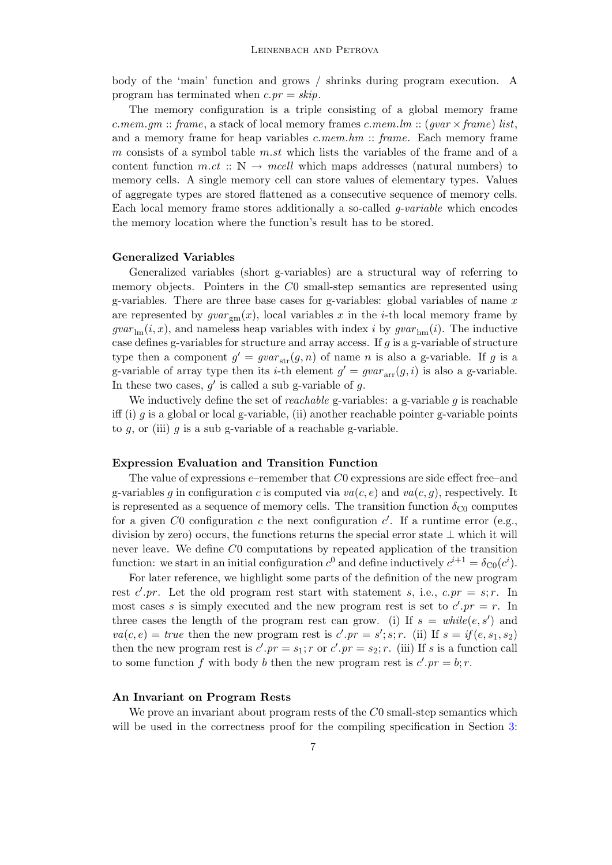body of the 'main' function and grows / shrinks during program execution. A program has terminated when  $c.py = skip$ .

The memory configuration is a triple consisting of a global memory frame c.mem.gm :: frame, a stack of local memory frames c.mem.lm :: (gvar  $\times$  frame) list, and a memory frame for heap variables  $c.$  mem.hm  $\therefore$  frame. Each memory frame m consists of a symbol table  $m.st$  which lists the variables of the frame and of a content function  $m.ct$  ::  $\mathbb{N} \to \text{mcell}$  which maps addresses (natural numbers) to memory cells. A single memory cell can store values of elementary types. Values of aggregate types are stored flattened as a consecutive sequence of memory cells. Each local memory frame stores additionally a so-called g-variable which encodes the memory location where the function's result has to be stored.

## Generalized Variables

Generalized variables (short g-variables) are a structural way of referring to memory objects. Pointers in the C0 small-step semantics are represented using g-variables. There are three base cases for g-variables: global variables of name  $x$ are represented by  $gvar_{\rm gm}(x)$ , local variables x in the *i*-th local memory frame by  $gvar_{\text{lm}}(i, x)$ , and nameless heap variables with index i by  $gvar_{\text{lm}}(i)$ . The inductive case defines g-variables for structure and array access. If g is a g-variable of structure type then a component  $g' = gvar_{str}(g, n)$  of name n is also a g-variable. If g is a g-variable of array type then its *i*-th element  $g' = gvar_{\text{arr}}(g, i)$  is also a g-variable. In these two cases,  $g'$  is called a sub g-variable of g.

We inductively define the set of *reachable* g-variables: a g-variable q is reachable iff (i) g is a global or local g-variable, (ii) another reachable pointer g-variable points to  $g$ , or (iii)  $g$  is a sub g-variable of a reachable g-variable.

#### Expression Evaluation and Transition Function

The value of expressions  $e$ –remember that  $C_0$  expressions are side effect free–and g-variables q in configuration c is computed via  $va(c, e)$  and  $va(c, q)$ , respectively. It is represented as a sequence of memory cells. The transition function  $\delta_{\text{C}0}$  computes for a given C0 configuration c the next configuration  $c'$ . If a runtime error (e.g., division by zero) occurs, the functions returns the special error state  $\perp$  which it will never leave. We define C0 computations by repeated application of the transition function: we start in an initial configuration  $c^0$  and define inductively  $c^{i+1} = \delta_{\text{CO}}(c^i)$ .

For later reference, we highlight some parts of the definition of the new program rest c'.pr. Let the old program rest start with statement s, i.e.,  $c.pr = s; r$ . In most cases s is simply executed and the new program rest is set to  $c'.pr = r$ . In three cases the length of the program rest can grow. (i) If  $s = \text{while}(e, s')$  and  $va(c, e) = true$  then the new program rest is  $c'.pr = s'; s; r.$  (ii) If  $s = if(e, s_1, s_2)$ then the new program rest is  $c'.pr = s_1; r$  or  $c'.pr = s_2; r$ . (iii) If s is a function call to some function f with body b then the new program rest is  $c'.pr = b; r$ .

## An Invariant on Program Rests

We prove an invariant about program rests of the  $C_0$  small-step semantics which will be used in the correctness proof for the compiling specification in Section [3:](#page-8-0)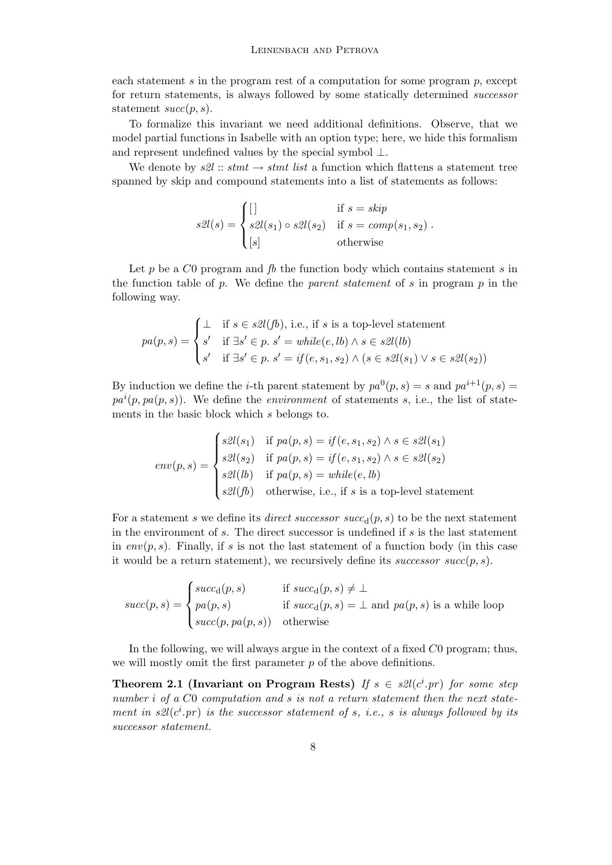each statement s in the program rest of a computation for some program  $p$ , except for return statements, is always followed by some statically determined successor statement  $succ(p, s)$ .

To formalize this invariant we need additional definitions. Observe, that we model partial functions in Isabelle with an option type; here, we hide this formalism and represent undefined values by the special symbol  $\perp$ .

We denote by  $s2l ::$  stmt  $\rightarrow$  stmt list a function which flattens a statement tree spanned by skip and compound statements into a list of statements as follows:

$$
s2l(s) = \begin{cases} [] & \text{if } s = skip \\ s2l(s_1) \circ s2l(s_2) & \text{if } s = comp(s_1, s_2) \\ [s] & \text{otherwise} \end{cases}.
$$

Let p be a  $C_0$  program and  $fb$  the function body which contains statement s in the function table of p. We define the parent statement of s in program  $p$  in the following way.

$$
pa(p, s) = \begin{cases} \bot & \text{if } s \in s\mathcal{Q}(fb), \text{ i.e., if } s \text{ is a top-level statement} \\ s' & \text{if } \exists s' \in p. \ s' = \text{while}(e, lb) \land s \in s\mathcal{Q}(lb) \\ s' & \text{if } \exists s' \in p. \ s' = \text{if}(e, s_1, s_2) \land (s \in s\mathcal{Q}(s_1) \lor s \in s\mathcal{Q}(s_2)) \end{cases}
$$

By induction we define the *i*-th parent statement by  $pa^{0}(p, s) = s$  and  $pa^{i+1}(p, s) =$  $pa^{i}(p,pa(p, s))$ . We define the *environment* of statements s, i.e., the list of statements in the basic block which s belongs to.

$$
env(p, s) = \begin{cases} s2l(s_1) & \text{if } pa(p, s) = if(e, s_1, s_2) \land s \in s2l(s_1) \\ s2l(s_2) & \text{if } pa(p, s) = if(e, s_1, s_2) \land s \in s2l(s_2) \\ s2l(b) & \text{if } pa(p, s) = while(e, lb) \\ s2l(fb) & \text{otherwise, i.e., if } s \text{ is a top-level statement} \end{cases}
$$

For a statement s we define its *direct successor succ*<sub>d</sub> $(p, s)$  to be the next statement in the environment of  $s$ . The direct successor is undefined if  $s$  is the last statement in  $env(p, s)$ . Finally, if s is not the last statement of a function body (in this case it would be a return statement), we recursively define its *successor succ* $(p, s)$ .

$$
succ(p, s) = \begin{cases} succ_{d}(p, s) & \text{if } succ_{d}(p, s) \neq \bot \\ pa(p, s) & \text{if } succ_{d}(p, s) = \bot \text{ and } pa(p, s) \text{ is a while loop} \\ succ(p, pa(p, s)) & \text{otherwise} \end{cases}
$$

In the following, we will always argue in the context of a fixed C0 program; thus, we will mostly omit the first parameter p of the above definitions.

<span id="page-7-0"></span>Theorem 2.1 (Invariant on Program Rests) If  $s \in \mathcal{Z}/(\mathcal{C}^i$  pr) for some step number *i* of a C0 computation and *s* is not a return statement then the next statement in  $s2l(c^i.p r)$  is the successor statement of s, i.e., s is always followed by its successor statement.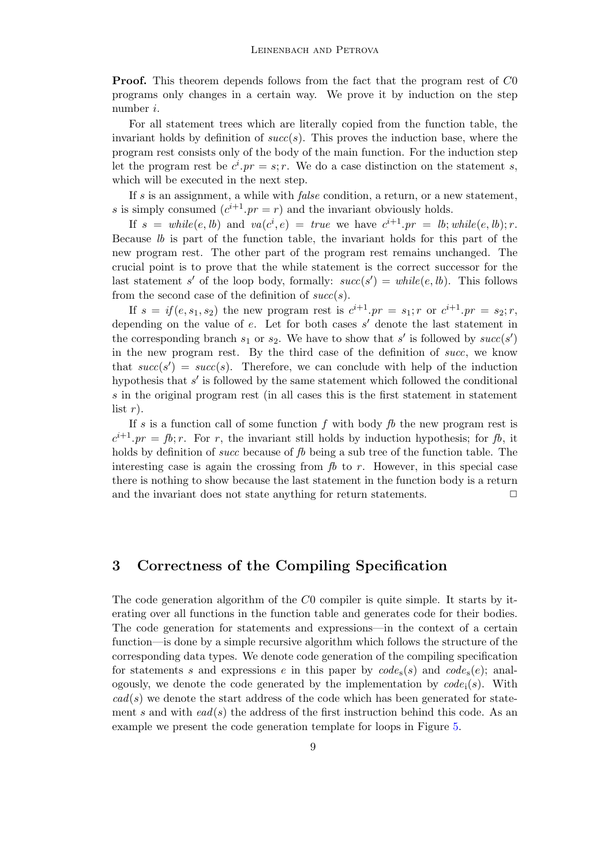**Proof.** This theorem depends follows from the fact that the program rest of CO programs only changes in a certain way. We prove it by induction on the step number i.

For all statement trees which are literally copied from the function table, the invariant holds by definition of  $succ(s)$ . This proves the induction base, where the program rest consists only of the body of the main function. For the induction step let the program rest be  $c^i$ .  $pr = s$ ; r. We do a case distinction on the statement s, which will be executed in the next step.

If s is an assignment, a while with *false* condition, a return, or a new statement, s is simply consumed  $(c^{i+1} \cdot pr = r)$  and the invariant obviously holds.

If  $s = \text{while}(e, lb)$  and  $\text{va}(c^i, e) = \text{true}$  we have  $c^{i+1} \cdot pr = lb; \text{while}(e, lb); r$ . Because lb is part of the function table, the invariant holds for this part of the new program rest. The other part of the program rest remains unchanged. The crucial point is to prove that the while statement is the correct successor for the last statement s' of the loop body, formally:  $succ(s') = while(e, lb)$ . This follows from the second case of the definition of  $succ(s)$ .

If  $s = if(e, s_1, s_2)$  the new program rest is  $c^{i+1} \cdot pr = s_1; r$  or  $c^{i+1} \cdot pr = s_2; r$ , depending on the value of  $e$ . Let for both cases  $s'$  denote the last statement in the corresponding branch  $s_1$  or  $s_2$ . We have to show that s' is followed by  $succ(s')$ in the new program rest. By the third case of the definition of succ, we know that  $succ(s') = succ(s)$ . Therefore, we can conclude with help of the induction hypothesis that  $s'$  is followed by the same statement which followed the conditional s in the original program rest (in all cases this is the first statement in statement list  $r$ ).

If s is a function call of some function f with body  $\beta$  the new program rest is  $c^{i+1}$ . pr = fb; r. For r, the invariant still holds by induction hypothesis; for fb, it holds by definition of *succ* because of fb being a sub tree of the function table. The interesting case is again the crossing from  $\beta$  to r. However, in this special case there is nothing to show because the last statement in the function body is a return and the invariant does not state anything for return statements.  $\Box$ 

## <span id="page-8-0"></span>3 Correctness of the Compiling Specification

The code generation algorithm of the C0 compiler is quite simple. It starts by iterating over all functions in the function table and generates code for their bodies. The code generation for statements and expressions—in the context of a certain function—is done by a simple recursive algorithm which follows the structure of the corresponding data types. We denote code generation of the compiling specification for statements s and expressions e in this paper by  $code_s(s)$  and  $code_s(e)$ ; analogously, we denote the code generated by the implementation by  $code_i(s)$ . With  $cad(s)$  we denote the start address of the code which has been generated for statement s and with  $ead(s)$  the address of the first instruction behind this code. As an example we present the code generation template for loops in Figure [5.](#page-9-0)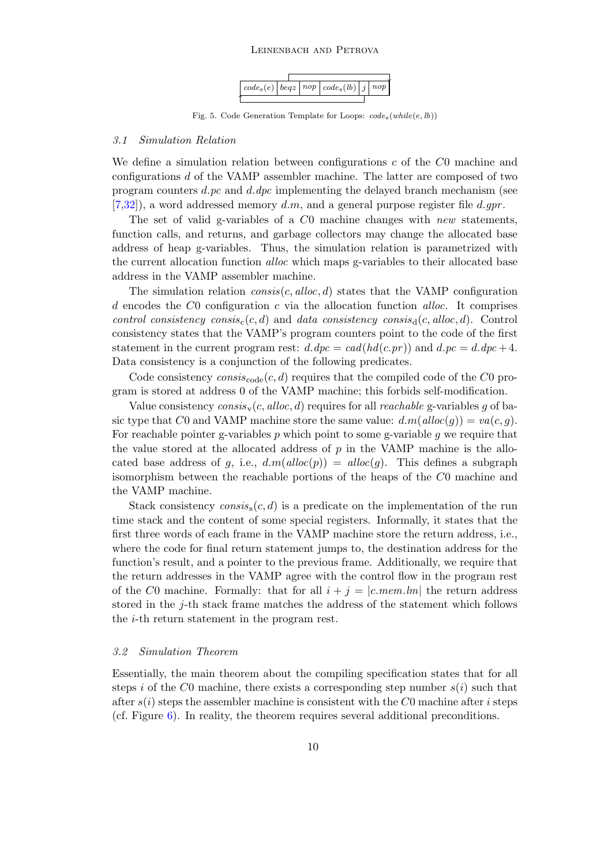### Leinenbach and Petrova



<span id="page-9-0"></span>Fig. 5. Code Generation Template for Loops:  $code_s(while(e, lb))$ 

#### 3.1 Simulation Relation

We define a simulation relation between configurations  $c$  of the  $C_0$  machine and configurations d of the VAMP assembler machine. The latter are composed of two program counters d.pc and d.dpc implementing the delayed branch mechanism (see  $[7,32]$  $[7,32]$ , a word addressed memory d.m, and a general purpose register file d.gpr.

The set of valid g-variables of a  $C_0$  machine changes with new statements, function calls, and returns, and garbage collectors may change the allocated base address of heap g-variables. Thus, the simulation relation is parametrized with the current allocation function alloc which maps g-variables to their allocated base address in the VAMP assembler machine.

The simulation relation  $consis(c,alloc, d)$  states that the VAMP configuration d encodes the  $C_0$  configuration c via the allocation function alloc. It comprises control consistency consis<sub>c</sub>(c, d) and data consistency consis<sub>d</sub>(c, alloc, d). Control consistency states that the VAMP's program counters point to the code of the first statement in the current program rest:  $d \cdot dpc = ca d(hd(c,pr))$  and  $d \cdot pc = d \cdot dpc + 4$ . Data consistency is a conjunction of the following predicates.

Code consistency  $consiss_{code}(c, d)$  requires that the compiled code of the C0 program is stored at address 0 of the VAMP machine; this forbids self-modification.

Value consistency  $consis_v(c,alloc, d)$  requires for all *reachable* g-variables g of basic type that C0 and VAMP machine store the same value:  $d.m(alloc(q)) = va(c, q)$ . For reachable pointer g-variables  $p$  which point to some g-variable  $q$  we require that the value stored at the allocated address of p in the VAMP machine is the allocated base address of g, i.e.,  $d.m(alloc(p)) = alloc(q)$ . This defines a subgraph isomorphism between the reachable portions of the heaps of the C0 machine and the VAMP machine.

Stack consistency consis<sub>s</sub> $(c, d)$  is a predicate on the implementation of the run time stack and the content of some special registers. Informally, it states that the first three words of each frame in the VAMP machine store the return address, i.e., where the code for final return statement jumps to, the destination address for the function's result, and a pointer to the previous frame. Additionally, we require that the return addresses in the VAMP agree with the control flow in the program rest of the C0 machine. Formally: that for all  $i + j = |c$ . mem. lm the return address stored in the j-th stack frame matches the address of the statement which follows the i-th return statement in the program rest.

## 3.2 Simulation Theorem

<span id="page-9-1"></span>Essentially, the main theorem about the compiling specification states that for all steps i of the C0 machine, there exists a corresponding step number  $s(i)$  such that after  $s(i)$  steps the assembler machine is consistent with the C0 machine after i steps (cf. Figure  $6$ ). In reality, the theorem requires several additional preconditions.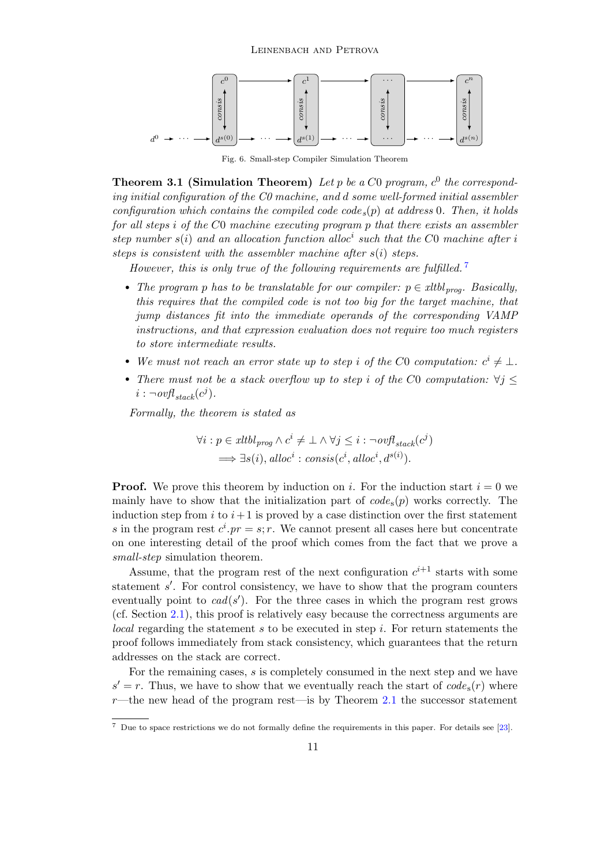

<span id="page-10-0"></span>Fig. 6. Small-step Compiler Simulation Theorem

**Theorem 3.1 (Simulation Theorem)** Let p be a C0 program,  $c^0$  the corresponding initial configuration of the C0 machine, and d some well-formed initial assembler configuration which contains the compiled code  $\zeta(p)$  at address 0. Then, it holds for all steps i of the C0 machine executing program p that there exists an assembler step number  $s(i)$  and an allocation function alloc<sup>i</sup> such that the C0 machine after i steps is consistent with the assembler machine after  $s(i)$  steps.

However, this is only true of the following requirements are fulfilled.<sup>[7](#page-10-1)</sup>

- The program p has to be translatable for our compiler:  $p \in xltb1_{\text{prog}}$ . Basically, this requires that the compiled code is not too big for the target machine, that jump distances fit into the immediate operands of the corresponding VAMP instructions, and that expression evaluation does not require too much registers to store intermediate results.
- We must not reach an error state up to step i of the C0 computation:  $c^i \neq \bot$ .
- There must not be a stack overflow up to step i of the C0 computation:  $\forall j$  <  $i : \neg \textit{ovfl}_{stack}(c^j)$ .

Formally, the theorem is stated as

$$
\forall i: p \in xltbl_{prog} \land c^i \neq \bot \land \forall j \leq i : \neg ovfl_{stack}(c^j)
$$
  

$$
\implies \exists s(i), \text{alloc}^i : \text{consis}(c^i, \text{alloc}^i, d^{s(i)}).
$$

**Proof.** We prove this theorem by induction on i. For the induction start  $i = 0$  we mainly have to show that the initialization part of  $code_s(p)$  works correctly. The induction step from i to  $i+1$  is proved by a case distinction over the first statement s in the program rest  $c^i$ .  $pr = s$ ; r. We cannot present all cases here but concentrate on one interesting detail of the proof which comes from the fact that we prove a small-step simulation theorem.

Assume, that the program rest of the next configuration  $c^{i+1}$  starts with some statement  $s'$ . For control consistency, we have to show that the program counters eventually point to  $cad(s')$ . For the three cases in which the program rest grows (cf. Section [2.1\)](#page-5-0), this proof is relatively easy because the correctness arguments are  $local$  regarding the statement  $s$  to be executed in step  $i$ . For return statements the proof follows immediately from stack consistency, which guarantees that the return addresses on the stack are correct.

For the remaining cases, s is completely consumed in the next step and we have  $s' = r$ . Thus, we have to show that we eventually reach the start of  $code_s(r)$  where  $r$ —the new head of the program rest—is by Theorem [2.1](#page-7-0) the successor statement

<span id="page-10-1"></span><sup>7</sup> Due to space restrictions we do not formally define the requirements in this paper. For details see [\[23\]](#page-16-3).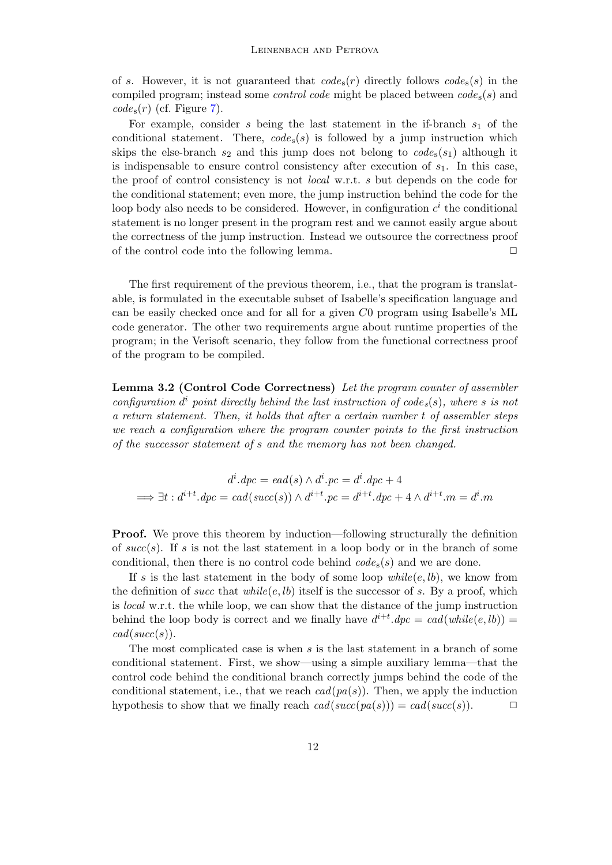of s. However, it is not guaranteed that  $code_s(r)$  directly follows  $code_s(s)$  in the compiled program; instead some *control code* might be placed between  $code_s(s)$  and  $code_s(r)$  (cf. Figure [7\)](#page-12-1).

For example, consider  $s$  being the last statement in the if-branch  $s_1$  of the conditional statement. There,  $code_s(s)$  is followed by a jump instruction which skips the else-branch  $s_2$  and this jump does not belong to  $code_s(s_1)$  although it is indispensable to ensure control consistency after execution of  $s<sub>1</sub>$ . In this case, the proof of control consistency is not local w.r.t. s but depends on the code for the conditional statement; even more, the jump instruction behind the code for the loop body also needs to be considered. However, in configuration  $c^i$  the conditional statement is no longer present in the program rest and we cannot easily argue about the correctness of the jump instruction. Instead we outsource the correctness proof of the control code into the following lemma.  $\Box$ 

The first requirement of the previous theorem, i.e., that the program is translatable, is formulated in the executable subset of Isabelle's specification language and can be easily checked once and for all for a given C0 program using Isabelle's ML code generator. The other two requirements argue about runtime properties of the program; in the Verisoft scenario, they follow from the functional correctness proof of the program to be compiled.

Lemma 3.2 (Control Code Correctness) Let the program counter of assembler configuration  $d^i$  point directly behind the last instruction of code<sub>s</sub>(s), where s is not a return statement. Then, it holds that after a certain number t of assembler steps we reach a configuration where the program counter points to the first instruction of the successor statement of s and the memory has not been changed.

$$
d^i \cdot dpc = ead(s) \wedge d^i \cdot pc = d^i \cdot dpc + 4
$$
  

$$
\implies \exists t : d^{i+t} \cdot dpc = cad(succ(s)) \wedge d^{i+t} \cdot pc = d^{i+t} \cdot dpc + 4 \wedge d^{i+t} \cdot mc = d^i \cdot m
$$

**Proof.** We prove this theorem by induction—following structurally the definition of  $succ(s)$ . If s is not the last statement in a loop body or in the branch of some conditional, then there is no control code behind  $code_s(s)$  and we are done.

If s is the last statement in the body of some loop  $while (e, lb)$ , we know from the definition of succ that while(e, lb) itself is the successor of s. By a proof, which is local w.r.t. the while loop, we can show that the distance of the jump instruction behind the loop body is correct and we finally have  $d^{i+t} \cdot dpc = cad(while(e, lb))$  =  $cad(succ(s)).$ 

The most complicated case is when  $s$  is the last statement in a branch of some conditional statement. First, we show—using a simple auxiliary lemma—that the control code behind the conditional branch correctly jumps behind the code of the conditional statement, i.e., that we reach  $cad(pa(s))$ . Then, we apply the induction hypothesis to show that we finally reach  $cad(succ(pa(s))) = cad(succ(s))$ .  $\Box$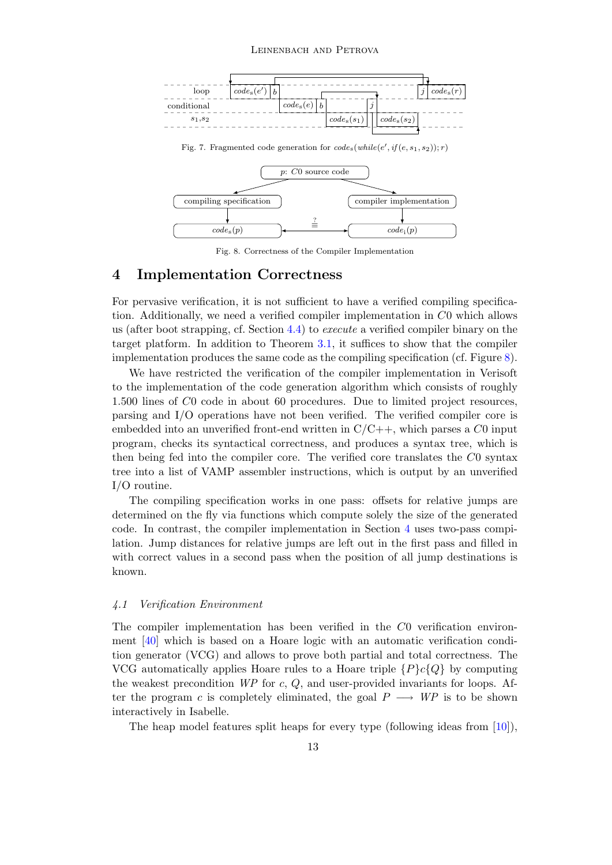#### Leinenbach and Petrova

<span id="page-12-1"></span>

<span id="page-12-2"></span>Fig. 8. Correctness of the Compiler Implementation

## <span id="page-12-0"></span>4 Implementation Correctness

For pervasive verification, it is not sufficient to have a verified compiling specification. Additionally, we need a verified compiler implementation in C0 which allows us (after boot strapping, cf. Section [4.4\)](#page-14-1) to execute a verified compiler binary on the target platform. In addition to Theorem [3.1,](#page-9-1) it suffices to show that the compiler implementation produces the same code as the compiling specification (cf. Figure [8\)](#page-12-2).

We have restricted the verification of the compiler implementation in Verisoft to the implementation of the code generation algorithm which consists of roughly 1.500 lines of C0 code in about 60 procedures. Due to limited project resources, parsing and I/O operations have not been verified. The verified compiler core is embedded into an unverified front-end written in  $C/C++$ , which parses a C0 input program, checks its syntactical correctness, and produces a syntax tree, which is then being fed into the compiler core. The verified core translates the C0 syntax tree into a list of VAMP assembler instructions, which is output by an unverified I/O routine.

The compiling specification works in one pass: offsets for relative jumps are determined on the fly via functions which compute solely the size of the generated code. In contrast, the compiler implementation in Section [4](#page-12-0) uses two-pass compilation. Jump distances for relative jumps are left out in the first pass and filled in with correct values in a second pass when the position of all jump destinations is known.

### 4.1 Verification Environment

The compiler implementation has been verified in the C0 verification environment [\[40\]](#page-16-5) which is based on a Hoare logic with an automatic verification condition generator (VCG) and allows to prove both partial and total correctness. The VCG automatically applies Hoare rules to a Hoare triple  $\{P\}c\{Q\}$  by computing the weakest precondition  $WP$  for c,  $Q$ , and user-provided invariants for loops. After the program c is completely eliminated, the goal  $P \longrightarrow \text{WP}$  is to be shown interactively in Isabelle.

The heap model features split heaps for every type (following ideas from [\[10\]](#page-15-18)),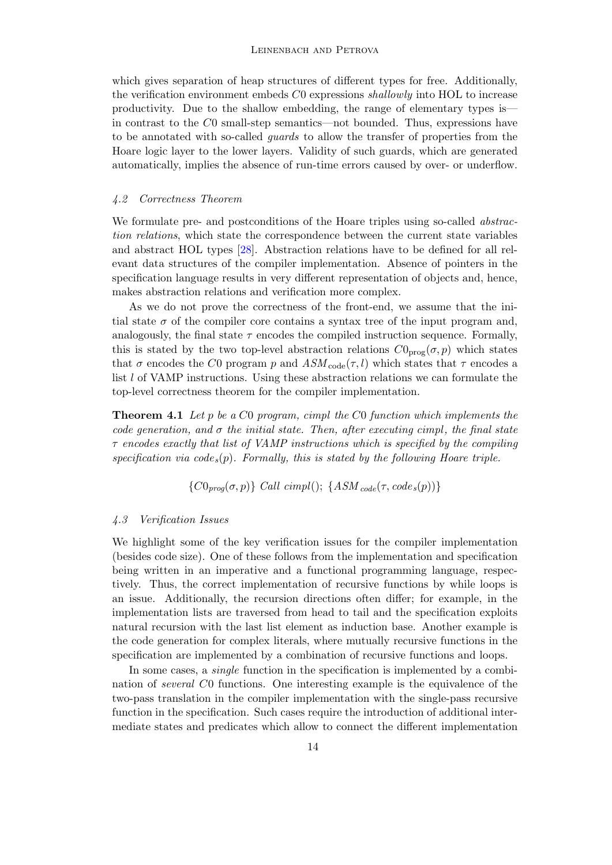which gives separation of heap structures of different types for free. Additionally, the verification environment embeds C0 expressions shallowly into HOL to increase productivity. Due to the shallow embedding, the range of elementary types is in contrast to the C0 small-step semantics—not bounded. Thus, expressions have to be annotated with so-called guards to allow the transfer of properties from the Hoare logic layer to the lower layers. Validity of such guards, which are generated automatically, implies the absence of run-time errors caused by over- or underflow.

## 4.2 Correctness Theorem

We formulate pre- and postconditions of the Hoare triples using so-called *abstrac*tion relations, which state the correspondence between the current state variables and abstract HOL types [\[28\]](#page-16-20). Abstraction relations have to be defined for all relevant data structures of the compiler implementation. Absence of pointers in the specification language results in very different representation of objects and, hence, makes abstraction relations and verification more complex.

As we do not prove the correctness of the front-end, we assume that the initial state  $\sigma$  of the compiler core contains a syntax tree of the input program and, analogously, the final state  $\tau$  encodes the compiled instruction sequence. Formally, this is stated by the two top-level abstraction relations  $C0_{\text{prog}}(\sigma, p)$  which states that  $\sigma$  encodes the C0 program p and  $ASM_{code}(\tau, l)$  which states that  $\tau$  encodes a list  $l$  of VAMP instructions. Using these abstraction relations we can formulate the top-level correctness theorem for the compiler implementation.

**Theorem 4.1** Let  $p$  be a  $C0$  program, cimpl the  $C0$  function which implements the code generation, and  $\sigma$  the initial state. Then, after executing cimpl, the final state  $\tau$  encodes exactly that list of VAMP instructions which is specified by the compiling specification via  $code_s(p)$ . Formally, this is stated by the following Hoare triple.

 ${CO_{prog}(\sigma, p)}$  Call cimpl();  ${ASM_{code}(\tau, code_s(p))}$ 

### 4.3 Verification Issues

We highlight some of the key verification issues for the compiler implementation (besides code size). One of these follows from the implementation and specification being written in an imperative and a functional programming language, respectively. Thus, the correct implementation of recursive functions by while loops is an issue. Additionally, the recursion directions often differ; for example, in the implementation lists are traversed from head to tail and the specification exploits natural recursion with the last list element as induction base. Another example is the code generation for complex literals, where mutually recursive functions in the specification are implemented by a combination of recursive functions and loops.

In some cases, a single function in the specification is implemented by a combination of several C0 functions. One interesting example is the equivalence of the two-pass translation in the compiler implementation with the single-pass recursive function in the specification. Such cases require the introduction of additional intermediate states and predicates which allow to connect the different implementation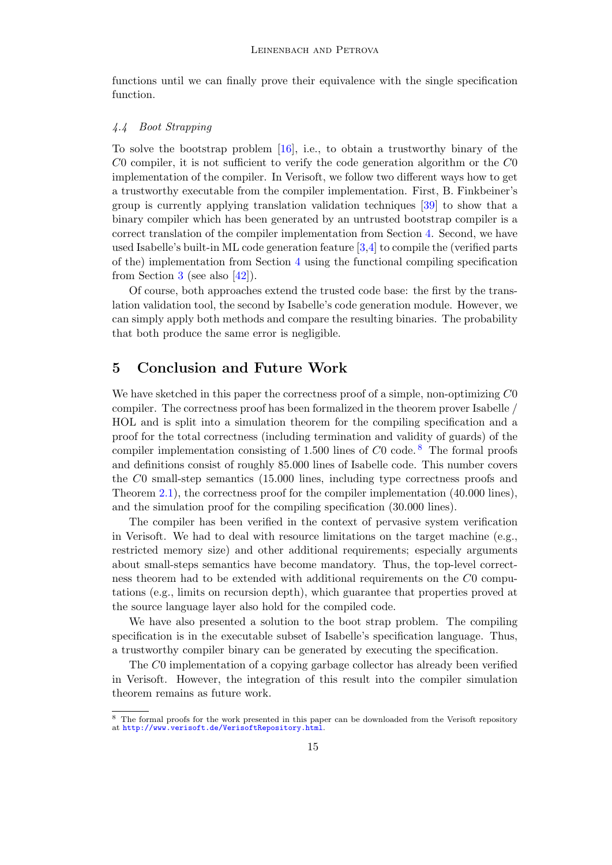functions until we can finally prove their equivalence with the single specification function.

## <span id="page-14-1"></span>4.4 Boot Strapping

To solve the bootstrap problem  $[16]$ , i.e., to obtain a trustworthy binary of the  $C0$  compiler, it is not sufficient to verify the code generation algorithm or the  $C0$ implementation of the compiler. In Verisoft, we follow two different ways how to get a trustworthy executable from the compiler implementation. First, B. Finkbeiner's group is currently applying translation validation techniques [\[39\]](#page-16-21) to show that a binary compiler which has been generated by an untrusted bootstrap compiler is a correct translation of the compiler implementation from Section [4.](#page-12-0) Second, we have used Isabelle's built-in ML code generation feature [\[3,](#page-15-19)[4\]](#page-15-20) to compile the (verified parts of the) implementation from Section [4](#page-12-0) using the functional compiling specification from Section [3](#page-8-0) (see also  $[42]$ ).

Of course, both approaches extend the trusted code base: the first by the translation validation tool, the second by Isabelle's code generation module. However, we can simply apply both methods and compare the resulting binaries. The probability that both produce the same error is negligible.

## <span id="page-14-0"></span>5 Conclusion and Future Work

We have sketched in this paper the correctness proof of a simple, non-optimizing  $C0$ compiler. The correctness proof has been formalized in the theorem prover Isabelle / HOL and is split into a simulation theorem for the compiling specification and a proof for the total correctness (including termination and validity of guards) of the compiler implementation consisting of 1.500 lines of  $C0$  code.<sup>[8](#page-14-2)</sup> The formal proofs and definitions consist of roughly 85.000 lines of Isabelle code. This number covers the C0 small-step semantics (15.000 lines, including type correctness proofs and Theorem [2.1\)](#page-7-0), the correctness proof for the compiler implementation (40.000 lines), and the simulation proof for the compiling specification (30.000 lines).

The compiler has been verified in the context of pervasive system verification in Verisoft. We had to deal with resource limitations on the target machine (e.g., restricted memory size) and other additional requirements; especially arguments about small-steps semantics have become mandatory. Thus, the top-level correctness theorem had to be extended with additional requirements on the C0 computations (e.g., limits on recursion depth), which guarantee that properties proved at the source language layer also hold for the compiled code.

We have also presented a solution to the boot strap problem. The compiling specification is in the executable subset of Isabelle's specification language. Thus, a trustworthy compiler binary can be generated by executing the specification.

The C0 implementation of a copying garbage collector has already been verified in Verisoft. However, the integration of this result into the compiler simulation theorem remains as future work.

<span id="page-14-2"></span><sup>8</sup> The formal proofs for the work presented in this paper can be downloaded from the Verisoft repository at <http://www.verisoft.de/VerisoftRepository.html>.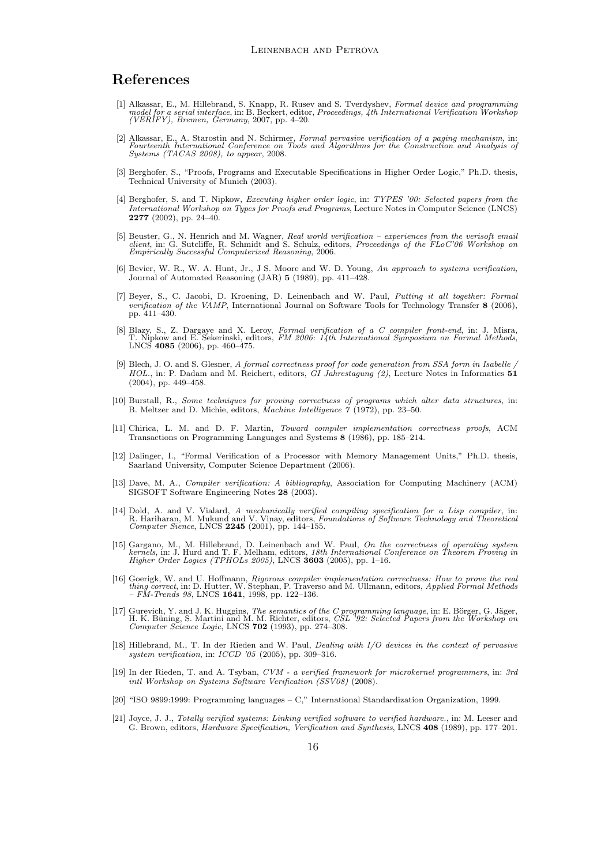## References

- <span id="page-15-2"></span>[1] Alkassar, E., M. Hillebrand, S. Knapp, R. Rusev and S. Tverdyshev, Formal device and programming model for a serial interface, in: B. Beckert, editor, *Proceedings, 4th International Verification Workshop* (VERIFY), Br
- <span id="page-15-10"></span>[2] Alkassar, E., A. Starostin and N. Schirmer, Formal pervasive verification of a paging mechanism, in: Fourteenth International Conference on Tools and Algorithms for the Construction and Analysis of Systems (TACAS 2008), to appear, 2008.
- <span id="page-15-19"></span>[3] Berghofer, S., "Proofs, Programs and Executable Specifications in Higher Order Logic," Ph.D. thesis, Technical University of Munich (2003).
- <span id="page-15-20"></span>[4] Berghofer, S. and T. Nipkow, Executing higher order logic, in: TYPES '00: Selected papers from the International Workshop on Types for Proofs and Programs, Lecture Notes in Computer Science (LNCS) 2277 (2002), pp. 24–40.
- <span id="page-15-5"></span>[5] Beuster, G., N. Henrich and M. Wagner, Real world verification – experiences from the verisoft email client, in: G. Sutcliffe, R. Schmidt and S. Schulz, editors, Proceedings of the FLoC'06 Workshop on Empirically Successful Computerized Reasoning, 2006.
- <span id="page-15-12"></span>[6] Bevier, W. R., W. A. Hunt, Jr., J S. Moore and W. D. Young, An approach to systems verification, Journal of Automated Reasoning (JAR) 5 (1989), pp. 411–428.
- <span id="page-15-0"></span>[7] Beyer, S., C. Jacobi, D. Kroening, D. Leinenbach and W. Paul, Putting it all together: Formal verification of the VAMP, International Journal on Software Tools for Technology Transfer 8 (2006), pp. 411–430.
- <span id="page-15-7"></span>[8] Blazy, S., Z. Dargaye and X. Leroy, Formal verification of a C compiler front-end, in: J. Misra, T. Nipkow and E. Sekerinski, editors, FM 2006: 14th International Symposium on Formal Methods, LNCS 4085 (2006), pp. 460–
- <span id="page-15-11"></span>[9] Blech, J. O. and S. Glesner, A formal correctness proof for code generation from SSA form in Isabelle , HOL., in: P. Dadam and M. Reichert, editors, GI Jahrestagung (2), Lecture Notes in Informatics 51 (2004), pp. 449–458.
- <span id="page-15-18"></span>[10] Burstall, R., Some techniques for proving correctness of programs which alter data structures, in: B. Meltzer and D. Michie, editors, Machine Intelligence 7 (1972), pp. 23–50.
- <span id="page-15-13"></span>[11] Chirica, L. M. and D. F. Martin, Toward compiler implementation correctness proofs, ACM Transactions on Programming Languages and Systems 8 (1986), pp. 185–214.
- <span id="page-15-1"></span>[12] Dalinger, I., "Formal Verification of a Processor with Memory Management Units," Ph.D. thesis, Saarland University, Computer Science Department (2006).
- <span id="page-15-6"></span>[13] Dave, M. A., Compiler verification: A bibliography, Association for Computing Machinery (ACM) SIGSOFT Software Engineering Notes 28 (2003).
- <span id="page-15-8"></span>[14] Dold, A. and V. Vialard, A mechanically verified compiling specification for a Lisp compiler, in:<br>R. Hariharan, M. Mukund and V. Vinay, editors, Foundations of Software Technology and Theoretical<br>Computer Sience, LNCS
- <span id="page-15-4"></span>[15] Gargano, M., M. Hillebrand, D. Leinenbach and W. Paul, *On the correctness of operating system* kernels, in: J. Hurd and T. F. Melham, editors, 18th International Conference on Theorem Proving in Higher Order Logics (
- <span id="page-15-9"></span>[16] Goerigk, W. and U. Hoffmann, *Rigorous compiler implementation correctness: How to prove the real* thing correct, in: D. Hutter, W. Stephan, P. Traverso and M. Ullmann, editors, *Applied Formal Methods* – *FM-Trends 9*
- <span id="page-15-15"></span>[17] Gurevich, Y. and J. K. Huggins, *The semantics of the C programming language*, in: E. Börger, G. Jäger, H. K. Büning, S. Martini and M. M. Richter, editors, *CSL '92: Selected Papers from the Workshop on Computer Scie*
- <span id="page-15-3"></span>[18] Hillebrand, M., T. In der Rieden and W. Paul, Dealing with I/O devices in the context of pervasive system verification, in: ICCD '05 (2005), pp. 309–316.
- <span id="page-15-17"></span>[19] In der Rieden, T. and A. Tsyban, CVM - a verified framework for microkernel programmers, in: 3rd intl Workshop on Systems Software Verification (SSV08) (2008).
- <span id="page-15-16"></span>[20] "ISO 9899:1999: Programming languages – C," International Standardization Organization, 1999.
- <span id="page-15-14"></span>[21] Joyce, J. J., Totally verified systems: Linking verified software to verified hardware., in: M. Leeser and G. Brown, editors, Hardware Specification, Verification and Synthesis, LNCS 408 (1989), pp. 177–201.